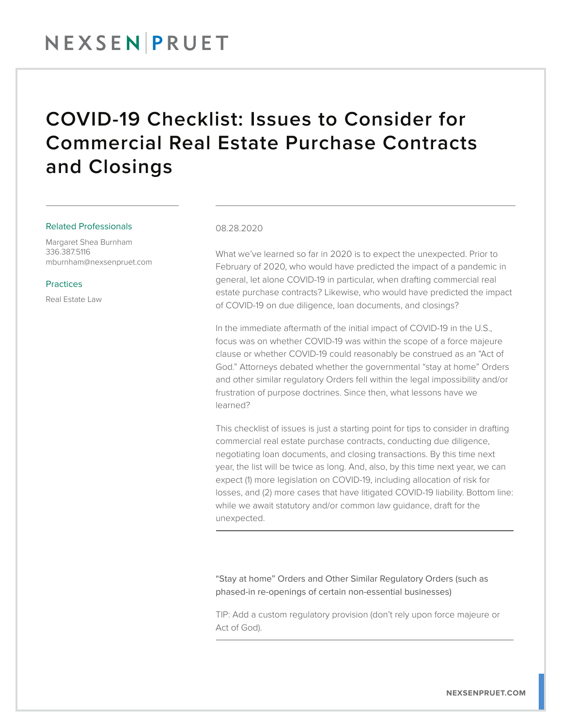## COVID-19 Checklist: Issues to Consider for Commercial Real Estate Purchase Contracts and Closings

### Related Professionals

Margaret Shea Burnham 336.387.5116 mburnham@nexsenpruet.com

### **Practices**

Real Estate Law

### 08.28.2020

What we've learned so far in 2020 is to expect the unexpected. Prior to February of 2020, who would have predicted the impact of a pandemic in general, let alone COVID-19 in particular, when drafting commercial real estate purchase contracts? Likewise, who would have predicted the impact of COVID-19 on due diligence, loan documents, and closings?

In the immediate aftermath of the initial impact of COVID-19 in the U.S., focus was on whether COVID-19 was within the scope of a force majeure clause or whether COVID-19 could reasonably be construed as an "Act of God." Attorneys debated whether the governmental "stay at home" Orders and other similar regulatory Orders fell within the legal impossibility and/or frustration of purpose doctrines. Since then, what lessons have we learned?

This checklist of issues is just a starting point for tips to consider in drafting commercial real estate purchase contracts, conducting due diligence, negotiating loan documents, and closing transactions. By this time next year, the list will be twice as long. And, also, by this time next year, we can expect (1) more legislation on COVID-19, including allocation of risk for losses, and (2) more cases that have litigated COVID-19 liability. Bottom line: while we await statutory and/or common law guidance, draft for the unexpected.  $\overline{a}$ 

"Stay at home" Orders and Other Similar Regulatory Orders (such as phased-in re-openings of certain non-essential businesses)

TIP: Add a custom regulatory provision (don't rely upon force majeure or Act of God).  $\overline{a}$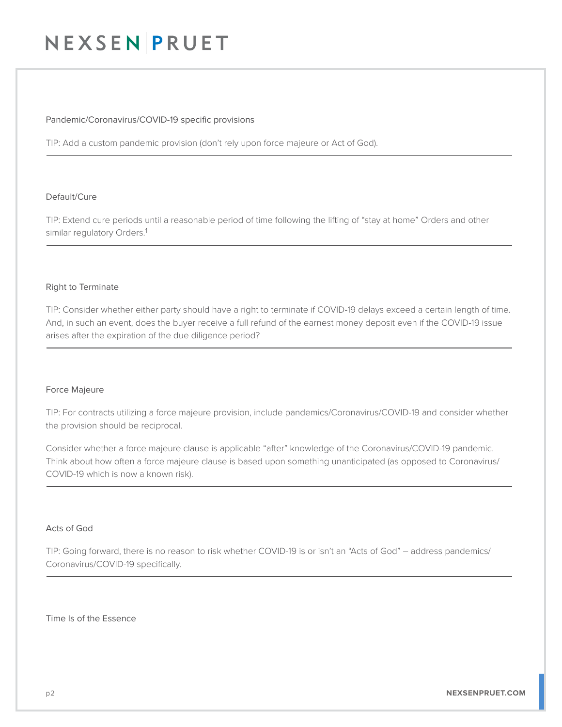### Pandemic/Coronavirus/COVID-19 specific provisions

TIP: Add a custom pandemic provision (don't rely upon force majeure or Act of God).  $\overline{a}$ 

### Default/Cure

TIP: Extend cure periods until a reasonable period of time following the lifting of "stay at home" Orders and other similar regulatory Orders.<sup>1</sup> J

### Right to Terminate

TIP: Consider whether either party should have a right to terminate if COVID-19 delays exceed a certain length of time. And, in such an event, does the buyer receive a full refund of the earnest money deposit even if the COVID-19 issue arises after the expiration of the due diligence period?  $\overline{a}$ 

### Force Majeure

TIP: For contracts utilizing a force majeure provision, include pandemics/Coronavirus/COVID-19 and consider whether the provision should be reciprocal.

Consider whether a force majeure clause is applicable "after" knowledge of the Coronavirus/COVID-19 pandemic. Think about how often a force majeure clause is based upon something unanticipated (as opposed to Coronavirus/ COVID-19 which is now a known risk).  $\overline{a}$ 

### Acts of God

TIP: Going forward, there is no reason to risk whether COVID-19 is or isn't an "Acts of God" – address pandemics/ Coronavirus/COVID-19 specifically.  $\overline{a}$ 

Time Is of the Essence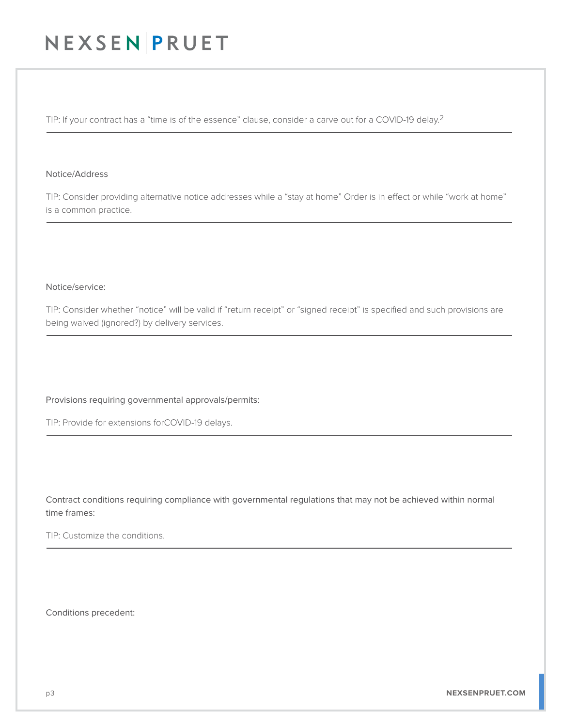TIP: If your contract has a "time is of the essence" clause, consider a carve out for a COVID-19 delay.<sup>2</sup> J

#### Notice/Address

TIP: Consider providing alternative notice addresses while a "stay at home" Order is in effect or while "work at home" is a common practice.  $\overline{a}$ 

### Notice/service:

TIP: Consider whether "notice" will be valid if "return receipt" or "signed receipt" is specified and such provisions are being waived (ignored?) by delivery services.  $\overline{a}$ 

Provisions requiring governmental approvals/permits:

TIP: Provide for extensions forCOVID-19 delays. J

Contract conditions requiring compliance with governmental regulations that may not be achieved within normal time frames:

TIP: Customize the conditions. J

Conditions precedent: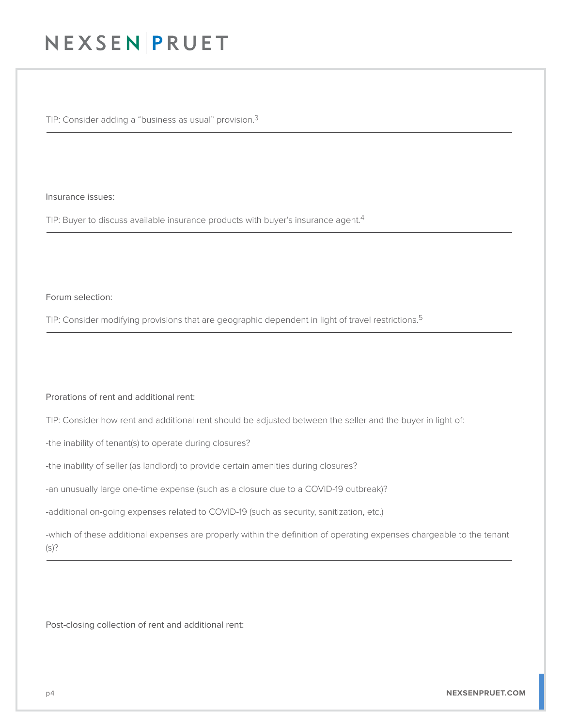TIP: Consider adding a "business as usual" provision.3 L

Insurance issues:

TIP: Buyer to discuss available insurance products with buyer's insurance agent.<sup>4</sup>  $\overline{a}$ 

Forum selection:

TIP: Consider modifying provisions that are geographic dependent in light of travel restrictions.<sup>5</sup>  $\overline{a}$ 

Prorations of rent and additional rent:

TIP: Consider how rent and additional rent should be adjusted between the seller and the buyer in light of:

-the inability of tenant(s) to operate during closures?

-the inability of seller (as landlord) to provide certain amenities during closures?

-an unusually large one-time expense (such as a closure due to a COVID-19 outbreak)?

-additional on-going expenses related to COVID-19 (such as security, sanitization, etc.)

-which of these additional expenses are properly within the definition of operating expenses chargeable to the tenant (s)? Ĺ

Post-closing collection of rent and additional rent: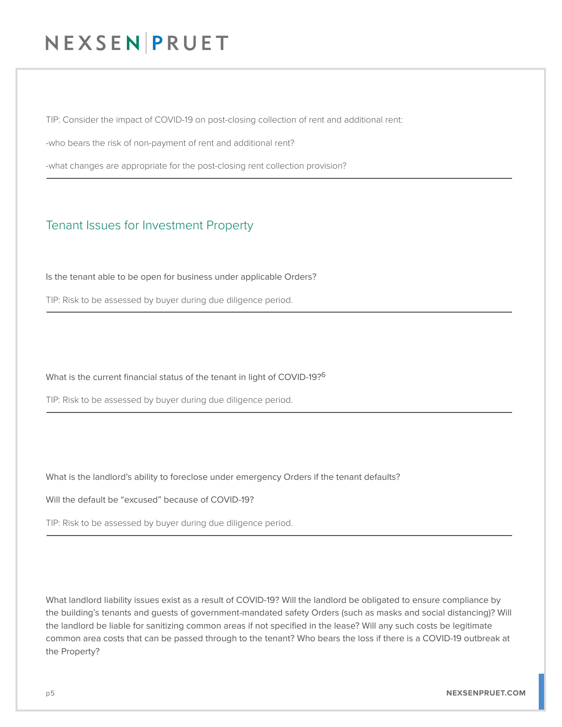TIP: Consider the impact of COVID-19 on post-closing collection of rent and additional rent:

-who bears the risk of non-payment of rent and additional rent?

-what changes are appropriate for the post-closing rent collection provision?  $\overline{a}$ 

### Tenant Issues for Investment Property

Is the tenant able to be open for business under applicable Orders?

TIP: Risk to be assessed by buyer during due diligence period.  $\overline{a}$ 

What is the current financial status of the tenant in light of COVID-19?6

TIP: Risk to be assessed by buyer during due diligence period.  $\overline{a}$ 

What is the landlord's ability to foreclose under emergency Orders if the tenant defaults?

Will the default be "excused" because of COVID-19?

TIP: Risk to be assessed by buyer during due diligence period.  $\overline{a}$ 

What landlord liability issues exist as a result of COVID-19? Will the landlord be obligated to ensure compliance by the building's tenants and guests of government-mandated safety Orders (such as masks and social distancing)? Will the landlord be liable for sanitizing common areas if not specified in the lease? Will any such costs be legitimate common area costs that can be passed through to the tenant? Who bears the loss if there is a COVID-19 outbreak at the Property?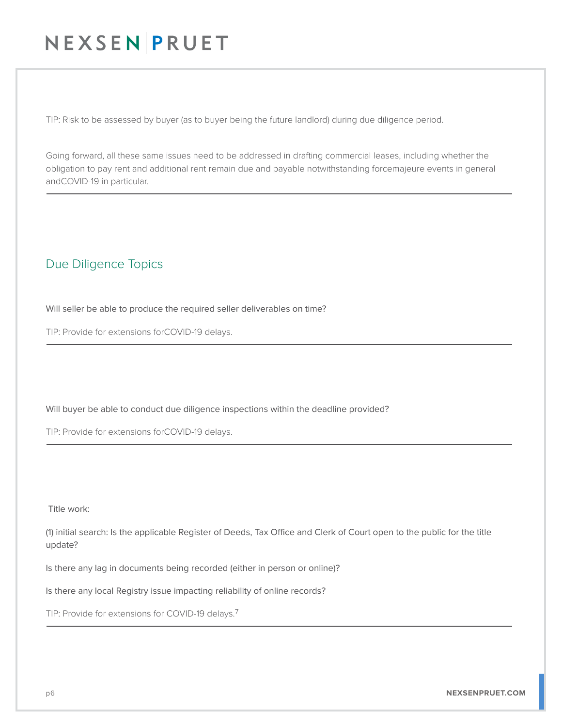TIP: Risk to be assessed by buyer (as to buyer being the future landlord) during due diligence period.

Going forward, all these same issues need to be addressed in drafting commercial leases, including whether the obligation to pay rent and additional rent remain due and payable notwithstanding forcemajeure events in general andCOVID-19 in particular.

### Due Diligence Topics

 $\overline{a}$ 

Will seller be able to produce the required seller deliverables on time?

TIP: Provide for extensions forCOVID-19 delays. L

Will buyer be able to conduct due diligence inspections within the deadline provided?

TIP: Provide for extensions forCOVID-19 delays.  $\overline{a}$ 

Title work:

(1) initial search: Is the applicable Register of Deeds, Tax Office and Clerk of Court open to the public for the title update?

Is there any lag in documents being recorded (either in person or online)?

Is there any local Registry issue impacting reliability of online records?

TIP: Provide for extensions for COVID-19 delays.<sup>7</sup>  $\overline{a}$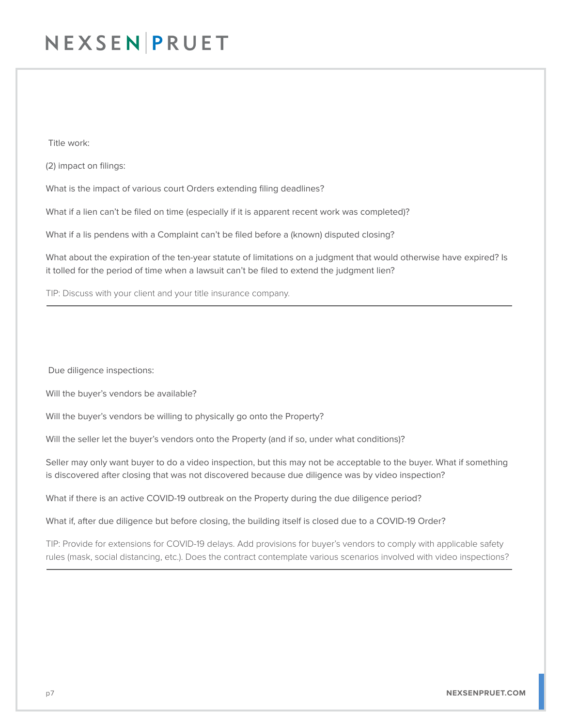Title work:

(2) impact on filings:

What is the impact of various court Orders extending filing deadlines?

What if a lien can't be filed on time (especially if it is apparent recent work was completed)?

What if a lis pendens with a Complaint can't be filed before a (known) disputed closing?

What about the expiration of the ten-year statute of limitations on a judgment that would otherwise have expired? Is it tolled for the period of time when a lawsuit can't be filed to extend the judgment lien?

TIP: Discuss with your client and your title insurance company. L

Due diligence inspections:

Will the buyer's vendors be available?

Will the buyer's vendors be willing to physically go onto the Property?

Will the seller let the buyer's vendors onto the Property (and if so, under what conditions)?

Seller may only want buyer to do a video inspection, but this may not be acceptable to the buyer. What if something is discovered after closing that was not discovered because due diligence was by video inspection?

What if there is an active COVID-19 outbreak on the Property during the due diligence period?

What if, after due diligence but before closing, the building itself is closed due to a COVID-19 Order?

TIP: Provide for extensions for COVID-19 delays. Add provisions for buyer's vendors to comply with applicable safety rules (mask, social distancing, etc.). Does the contract contemplate various scenarios involved with video inspections?  $\overline{a}$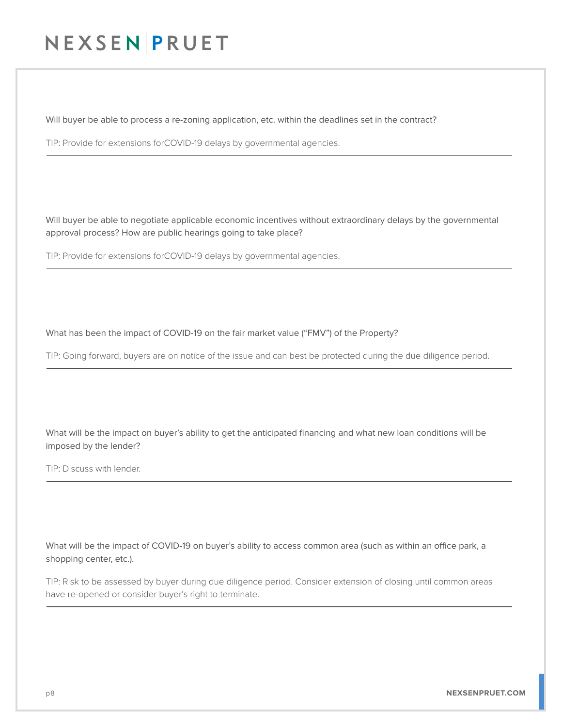Will buyer be able to process a re-zoning application, etc. within the deadlines set in the contract?

TIP: Provide for extensions forCOVID-19 delays by governmental agencies.  $\overline{a}$ 

Will buyer be able to negotiate applicable economic incentives without extraordinary delays by the governmental approval process? How are public hearings going to take place?

TIP: Provide for extensions forCOVID-19 delays by governmental agencies.  $\overline{a}$ 

What has been the impact of COVID-19 on the fair market value ("FMV") of the Property?

TIP: Going forward, buyers are on notice of the issue and can best be protected during the due diligence period.  $\overline{a}$ 

What will be the impact on buyer's ability to get the anticipated financing and what new loan conditions will be imposed by the lender?

TIP: Discuss with lender.  $\overline{a}$ 

What will be the impact of COVID-19 on buyer's ability to access common area (such as within an office park, a shopping center, etc.).

TIP: Risk to be assessed by buyer during due diligence period. Consider extension of closing until common areas have re-opened or consider buyer's right to terminate.  $\overline{a}$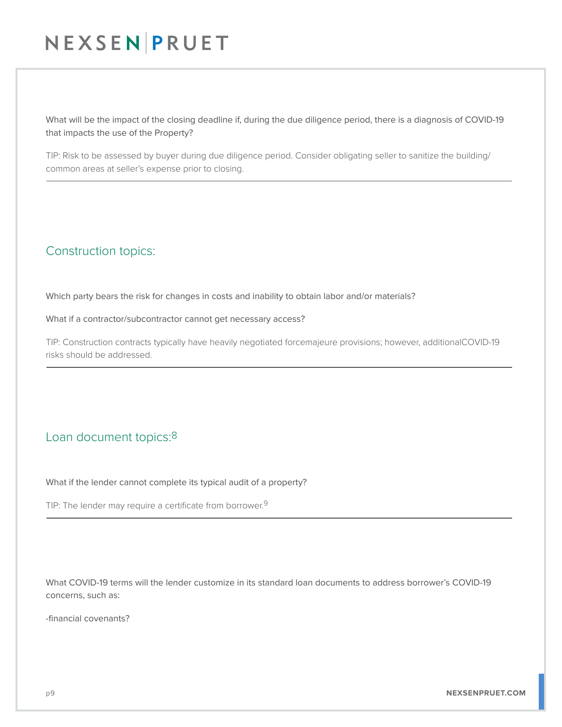What will be the impact of the closing deadline if, during the due diligence period, there is a diagnosis of COVID-19 that impacts the use of the Property?

TIP: Risk to be assessed by buyer during due diligence period. Consider obligating seller to sanitize the building/ common areas at seller's expense prior to closing.  $\overline{a}$ 

### Construction topics:

Which party bears the risk for changes in costs and inability to obtain labor and/or materials?

What if a contractor/subcontractor cannot get necessary access?

TIP: Construction contracts typically have heavily negotiated forcemajeure provisions; however, additionalCOVID-19 risks should be addressed.  $\overline{a}$ 

### Loan document topics:8

What if the lender cannot complete its typical audit of a property?

TIP: The lender may require a certificate from borrower.<sup>9</sup> L

What COVID-19 terms will the lender customize in its standard loan documents to address borrower's COVID-19 concerns, such as:

-financial covenants?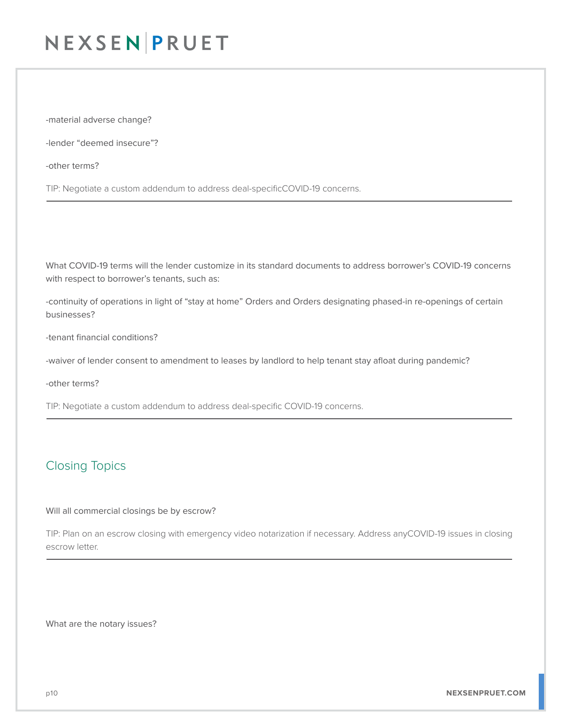-material adverse change?

-lender "deemed insecure"?

-other terms?

TIP: Negotiate a custom addendum to address deal-specificCOVID-19 concerns. L

What COVID-19 terms will the lender customize in its standard documents to address borrower's COVID-19 concerns with respect to borrower's tenants, such as:

-continuity of operations in light of "stay at home" Orders and Orders designating phased-in re-openings of certain businesses?

-tenant financial conditions?

-waiver of lender consent to amendment to leases by landlord to help tenant stay afloat during pandemic?

-other terms?

TIP: Negotiate a custom addendum to address deal-specific COVID-19 concerns. L

### Closing Topics

#### Will all commercial closings be by escrow?

TIP: Plan on an escrow closing with emergency video notarization if necessary. Address anyCOVID-19 issues in closing escrow letter. L

What are the notary issues?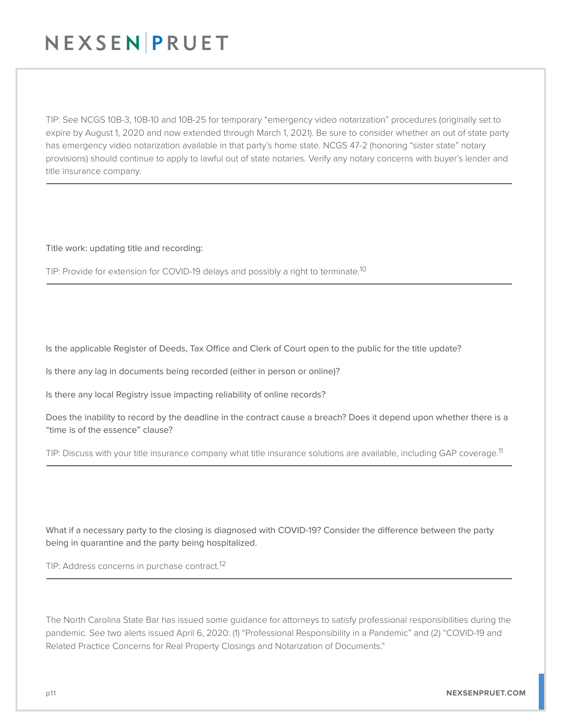TIP: See NCGS 10B-3, 10B-10 and 10B-25 for temporary "emergency video notarization" procedures (originally set to expire by August 1, 2020 and now extended through March 1, 2021). Be sure to consider whether an out of state party has emergency video notarization available in that party's home state. NCGS 47-2 (honoring "sister state" notary provisions) should continue to apply to lawful out of state notaries. Verify any notary concerns with buyer's lender and title insurance company.  $\overline{a}$ 

Title work: updating title and recording:

TIP: Provide for extension for COVID-19 delays and possibly a right to terminate.<sup>10</sup> L

Is the applicable Register of Deeds, Tax Office and Clerk of Court open to the public for the title update?

Is there any lag in documents being recorded (either in person or online)?

Is there any local Registry issue impacting reliability of online records?

Does the inability to record by the deadline in the contract cause a breach? Does it depend upon whether there is a "time is of the essence" clause?

TIP: Discuss with your title insurance company what title insurance solutions are available, including GAP coverage.<sup>11</sup> L

What if a necessary party to the closing is diagnosed with COVID-19? Consider the difference between the party being in quarantine and the party being hospitalized.

TIP: Address concerns in purchase contract.<sup>12</sup> L

The North Carolina State Bar has issued some guidance for attorneys to satisfy professional responsibilities during the pandemic. See two alerts issued April 6, 2020: (1) "Professional Responsibility in a Pandemic" and (2) "COVID-19 and Related Practice Concerns for Real Property Closings and Notarization of Documents."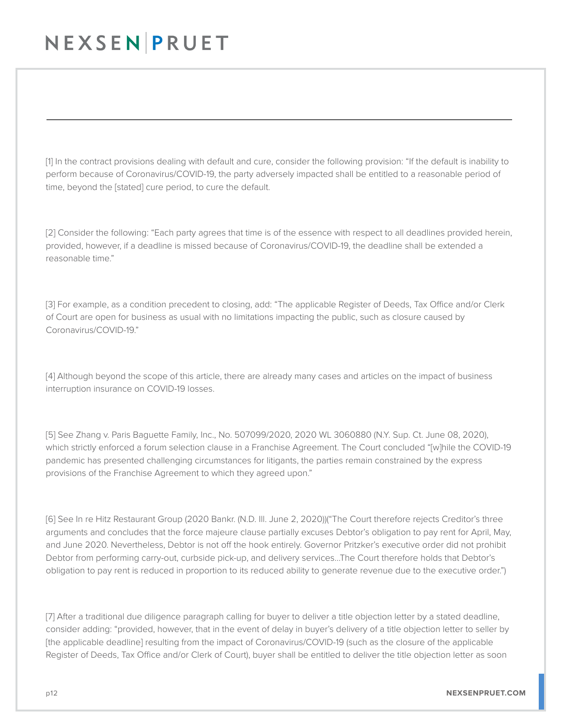$\overline{a}$ 

[1] In the contract provisions dealing with default and cure, consider the following provision: "If the default is inability to perform because of Coronavirus/COVID-19, the party adversely impacted shall be entitled to a reasonable period of time, beyond the [stated] cure period, to cure the default.

[2] Consider the following: "Each party agrees that time is of the essence with respect to all deadlines provided herein, provided, however, if a deadline is missed because of Coronavirus/COVID-19, the deadline shall be extended a reasonable time."

[3] For example, as a condition precedent to closing, add: "The applicable Register of Deeds, Tax Office and/or Clerk of Court are open for business as usual with no limitations impacting the public, such as closure caused by Coronavirus/COVID-19."

[4] Although beyond the scope of this article, there are already many cases and articles on the impact of business interruption insurance on COVID-19 losses.

[5] See Zhang v. Paris Baguette Family, Inc., No. 507099/2020, 2020 WL 3060880 (N.Y. Sup. Ct. June 08, 2020), which strictly enforced a forum selection clause in a Franchise Agreement. The Court concluded "[w]hile the COVID-19 pandemic has presented challenging circumstances for litigants, the parties remain constrained by the express provisions of the Franchise Agreement to which they agreed upon."

[6] See In re Hitz Restaurant Group (2020 Bankr. (N.D. Ill. June 2, 2020))("The Court therefore rejects Creditor's three arguments and concludes that the force majeure clause partially excuses Debtor's obligation to pay rent for April, May, and June 2020. Nevertheless, Debtor is not off the hook entirely. Governor Pritzker's executive order did not prohibit Debtor from performing carry-out, curbside pick-up, and delivery services…The Court therefore holds that Debtor's obligation to pay rent is reduced in proportion to its reduced ability to generate revenue due to the executive order.")

[7] After a traditional due diligence paragraph calling for buyer to deliver a title objection letter by a stated deadline, consider adding: "provided, however, that in the event of delay in buyer's delivery of a title objection letter to seller by [the applicable deadline] resulting from the impact of Coronavirus/COVID-19 (such as the closure of the applicable Register of Deeds, Tax Office and/or Clerk of Court), buyer shall be entitled to deliver the title objection letter as soon